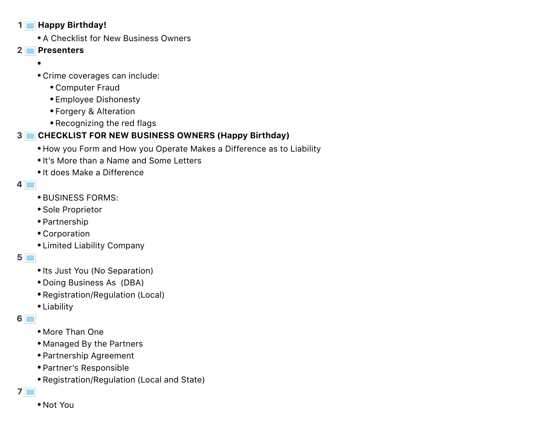#### **1 Happy Birthday!**

- A Checklist for New Business Owners
- **2 Presenters**
	- $\bullet$
	- Crime coverages can include:
		- Computer Fraud
		- Employee Dishonesty
		- Forgery & Alteration
		- Recognizing the red flags

# **3 CHECKLIST FOR NEW BUSINESS OWNERS (Happy Birthday)**

- How you Form and How you Operate Makes a Difference as to Liability
- It's More than a Name and Some Letters
- It does Make a Difference
- **4**
	- BUSINESS FORMS:
	- Sole Proprietor
	- Partnership
	- Corporation
	- Limited Liability Company
- **5**
	- Its Just You (No Separation)
	- Doing Business As (DBA)
	- Registration/Regulation (Local)
	- Liability
- **6**
	- More Than One
	- Managed By the Partners
	- Partnership Agreement
	- Partner's Responsible
	- Registration/Regulation (Local and State)
- **7**
	- Not You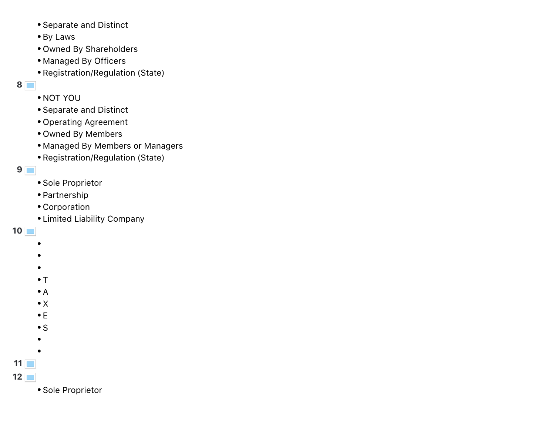- Separate and Distinct
- By Laws
- Owned By Shareholders
- Managed By Officers
- Registration/Regulation (State)

**8**

- NOT YOU
- Separate and Distinct
- Operating Agreement
- Owned By Members
- Managed By Members or Managers
- Registration/Regulation (State)

**9**

- Sole Proprietor
- Partnership
- Corporation
- Limited Liability Company

**10**

- ٠
- $\bullet$
- $\bullet$
- $\cdot$  T
- $\bullet$  A
- $\bullet$  X
- $\bullet$  E
- 
- $\cdot$  S
- $\bullet$
- 
- **11**
- **12**
	- Sole Proprietor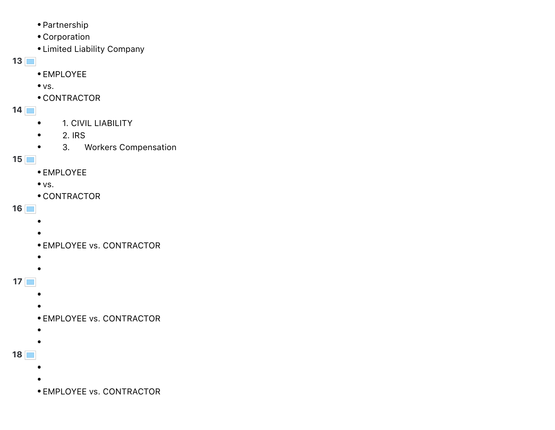- Partnership
- Corporation
- Limited Liability Company

### **13**

- EMPLOYEE
- $\bullet$  vs.
- CONTRACTOR
- **14**
	- 1. CIVIL LIABILITY  $\bullet$
	- 2. IRS  $\bullet$
	- 3. Workers Compensation  $\bullet$

## **15**

- EMPLOYEE
- $\bullet$  vs.
- CONTRACTOR

### **16**

- $\bullet$
- 
- EMPLOYEE vs. CONTRACTOR
- $\bullet$
- $\bullet$
- **17**
	- -
		- EMPLOYEE vs. CONTRACTOR
		- $\bullet$
	- $\bullet$
- **18**
	- -
		- EMPLOYEE vs. CONTRACTOR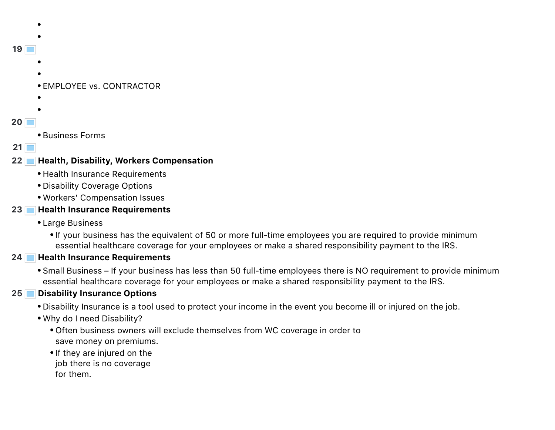# **19 .** EMPLOYEE vs. CONTRACTOR  $\bullet$

- 
- **20**
- Business Forms

## **21**

# **22 Health, Disability, Workers Compensation**

- Health Insurance Requirements
- Disability Coverage Options
- Workers' Compensation Issues

# **23 Health Insurance Requirements**

- Large Business
	- If your business has the equivalent of 50 or more full-time employees you are required to provide minimum essential healthcare coverage for your employees or make a shared responsibility payment to the IRS.

# **24 Health Insurance Requirements**

Small Business – If your business has less than 50 full-time employees there is NO requirement to provide minimum essential healthcare coverage for your employees or make a shared responsibility payment to the IRS.

# **25 Disability Insurance Options**

- Disability Insurance is a tool used to protect your income in the event you become ill or injured on the job.
- Why do I need Disability?
	- Often business owners will exclude themselves from WC coverage in order to save money on premiums.
	- If they are injured on the
	- job there is no coverage
	- for them.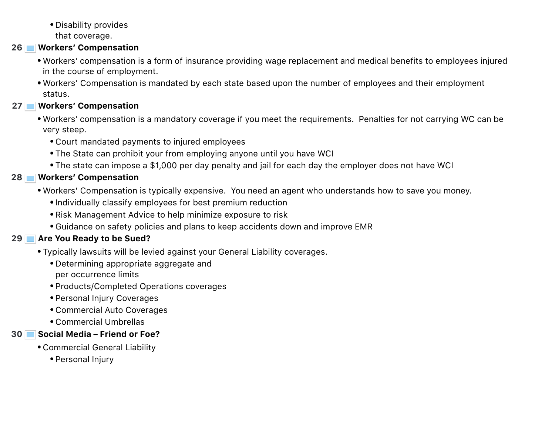Disability provides that coverage.

#### **26 Workers' Compensation**

- Workers' compensation is a form of insurance providing wage replacement and medical benefits to employees injured in the course of employment.
- Workers' Compensation is mandated by each state based upon the number of employees and their employment status.

#### **27 Workers' Compensation**

- Workers' compensation is a mandatory coverage if you meet the requirements. Penalties for not carrying WC can be very steep.
	- Court mandated payments to injured employees
	- The State can prohibit your from employing anyone until you have WCI
	- The state can impose a \$1,000 per day penalty and jail for each day the employer does not have WCI

## **28 Workers' Compensation**

- Workers' Compensation is typically expensive. You need an agent who understands how to save you money.
	- Individually classify employees for best premium reduction
	- Risk Management Advice to help minimize exposure to risk
	- Guidance on safety policies and plans to keep accidents down and improve EMR

## **29 Are You Ready to be Sued?**

- Typically lawsuits will be levied against your General Liability coverages.
	- Determining appropriate aggregate and per occurrence limits
	- Products/Completed Operations coverages
	- Personal Injury Coverages
	- Commercial Auto Coverages
	- Commercial Umbrellas

## **30 Social Media – Friend or Foe?**

- Commercial General Liability
	- Personal Injury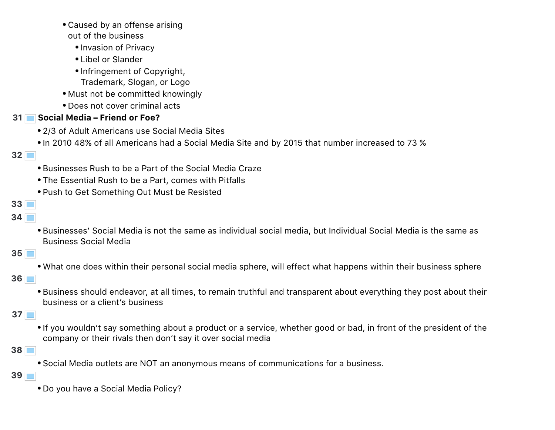

- **39**
	- Do you have a Social Media Policy?